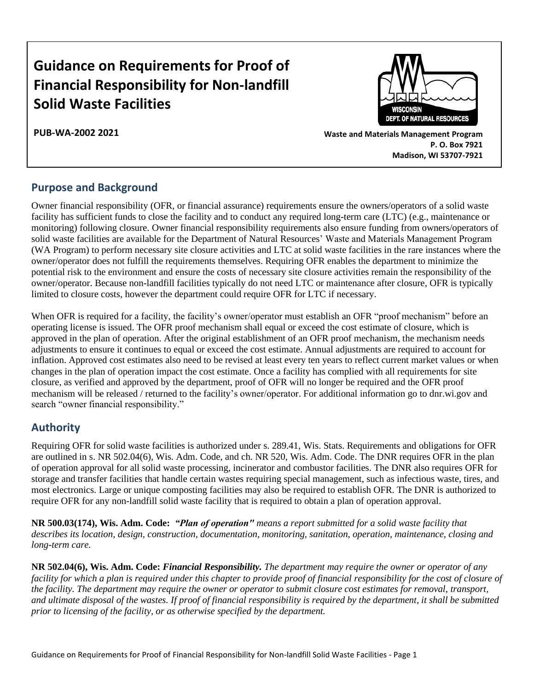# **Guidance on Requirements for Proof of Financial Responsibility for Non-landfill Solid Waste Facilities**

**PUB-WA-2002 2021**



**Waste and Materials Management Program P. O. Box 7921 Madison, WI 53707-7921**

## **Purpose and Background**

Owner financial responsibility (OFR, or financial assurance) requirements ensure the owners/operators of a solid waste facility has sufficient funds to close the facility and to conduct any required long-term care (LTC) (e.g., maintenance or monitoring) following closure. Owner financial responsibility requirements also ensure funding from owners/operators of solid waste facilities are available for the Department of Natural Resources' Waste and Materials Management Program (WA Program) to perform necessary site closure activities and LTC at solid waste facilities in the rare instances where the owner/operator does not fulfill the requirements themselves. Requiring OFR enables the department to minimize the potential risk to the environment and ensure the costs of necessary site closure activities remain the responsibility of the owner/operator. Because non-landfill facilities typically do not need LTC or maintenance after closure, OFR is typically limited to closure costs, however the department could require OFR for LTC if necessary.

When OFR is required for a facility, the facility's owner/operator must establish an OFR "proof mechanism" before an operating license is issued. The OFR proof mechanism shall equal or exceed the cost estimate of closure, which is approved in the plan of operation. After the original establishment of an OFR proof mechanism, the mechanism needs adjustments to ensure it continues to equal or exceed the cost estimate. Annual adjustments are required to account for inflation. Approved cost estimates also need to be revised at least every ten years to reflect current market values or when changes in the plan of operation impact the cost estimate. Once a facility has complied with all requirements for site closure, as verified and approved by the department, proof of OFR will no longer be required and the OFR proof mechanism will be released / returned to the facility's owner/operator. For additional information go to dnr.wi.gov and search "owner financial responsibility."

### **Authority**

Requiring OFR for solid waste facilities is authorized under s. 289.41, Wis. Stats. Requirements and obligations for OFR are outlined in s. NR 502.04(6), Wis. Adm. Code, and ch. NR 520, Wis. Adm. Code. The DNR requires OFR in the plan of operation approval for all solid waste processing, incinerator and combustor facilities. The DNR also requires OFR for storage and transfer facilities that handle certain wastes requiring special management, such as infectious waste, tires, and most electronics. Large or unique composting facilities may also be required to establish OFR. The DNR is authorized to require OFR for any non-landfill solid waste facility that is required to obtain a plan of operation approval.

**NR 500.03(174), Wis. Adm. Code:** *"Plan of operation" means a report submitted for a solid waste facility that describes its location, design, construction, documentation, monitoring, sanitation, operation, maintenance, closing and long-term care.*

**NR 502.04(6), Wis. Adm. Code:** *Financial Responsibility. The department may require the owner or operator of any facility for which a plan is required under this chapter to provide proof of financial responsibility for the cost of closure of the facility. The department may require the owner or operator to submit closure cost estimates for removal, transport, and ultimate disposal of the wastes. If proof of financial responsibility is required by the department, it shall be submitted prior to licensing of the facility, or as otherwise specified by the department.*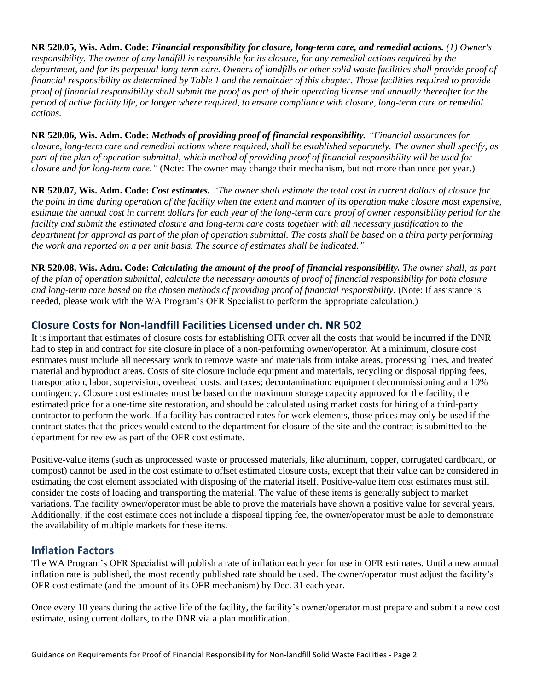**NR 520.05, Wis. Adm. Code:** *Financial responsibility for closure, long-term care, and remedial actions. (1) Owner's responsibility. The owner of any landfill is responsible for its closure, for any remedial actions required by the department, and for its perpetual long-term care. Owners of landfills or other solid waste facilities shall provide proof of financial responsibility as determined by Table 1 and the remainder of this chapter. Those facilities required to provide proof of financial responsibility shall submit the proof as part of their operating license and annually thereafter for the period of active facility life, or longer where required, to ensure compliance with closure, long-term care or remedial actions.*

**NR 520.06, Wis. Adm. Code:** *Methods of providing proof of financial responsibility. "Financial assurances for closure, long-term care and remedial actions where required, shall be established separately. The owner shall specify, as part of the plan of operation submittal, which method of providing proof of financial responsibility will be used for closure and for long-term care."* (Note: The owner may change their mechanism, but not more than once per year.)

**NR 520.07, Wis. Adm. Code:** *Cost estimates. "The owner shall estimate the total cost in current dollars of closure for the point in time during operation of the facility when the extent and manner of its operation make closure most expensive, estimate the annual cost in current dollars for each year of the long-term care proof of owner responsibility period for the facility and submit the estimated closure and long-term care costs together with all necessary justification to the department for approval as part of the plan of operation submittal. The costs shall be based on a third party performing the work and reported on a per unit basis. The source of estimates shall be indicated."*

**NR 520.08, Wis. Adm. Code:** *Calculating the amount of the proof of financial responsibility. The owner shall, as part of the plan of operation submittal, calculate the necessary amounts of proof of financial responsibility for both closure and long-term care based on the chosen methods of providing proof of financial responsibility.* (Note: If assistance is needed, please work with the WA Program's OFR Specialist to perform the appropriate calculation.)

## **Closure Costs for Non-landfill Facilities Licensed under ch. NR 502**

It is important that estimates of closure costs for establishing OFR cover all the costs that would be incurred if the DNR had to step in and contract for site closure in place of a non-performing owner/operator. At a minimum, closure cost estimates must include all necessary work to remove waste and materials from intake areas, processing lines, and treated material and byproduct areas. Costs of site closure include equipment and materials, recycling or disposal tipping fees, transportation, labor, supervision, overhead costs, and taxes; decontamination; equipment decommissioning and a 10% contingency. Closure cost estimates must be based on the maximum storage capacity approved for the facility, the estimated price for a one-time site restoration, and should be calculated using market costs for hiring of a third-party contractor to perform the work. If a facility has contracted rates for work elements, those prices may only be used if the contract states that the prices would extend to the department for closure of the site and the contract is submitted to the department for review as part of the OFR cost estimate.

Positive-value items (such as unprocessed waste or processed materials, like aluminum, copper, corrugated cardboard, or compost) cannot be used in the cost estimate to offset estimated closure costs, except that their value can be considered in estimating the cost element associated with disposing of the material itself. Positive-value item cost estimates must still consider the costs of loading and transporting the material. The value of these items is generally subject to market variations. The facility owner/operator must be able to prove the materials have shown a positive value for several years. Additionally, if the cost estimate does not include a disposal tipping fee, the owner/operator must be able to demonstrate the availability of multiple markets for these items.

### **Inflation Factors**

The WA Program's OFR Specialist will publish a rate of inflation each year for use in OFR estimates. Until a new annual inflation rate is published, the most recently published rate should be used. The owner/operator must adjust the facility's OFR cost estimate (and the amount of its OFR mechanism) by Dec. 31 each year.

Once every 10 years during the active life of the facility, the facility's owner/operator must prepare and submit a new cost estimate, using current dollars, to the DNR via a plan modification.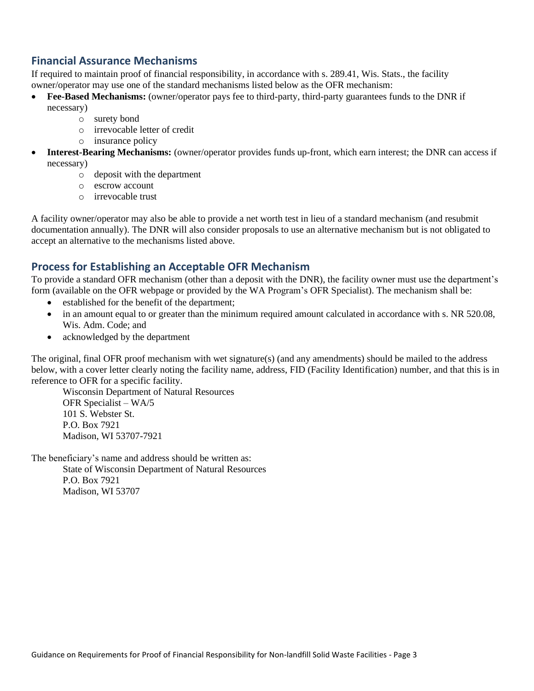### **Financial Assurance Mechanisms**

If required to maintain proof of financial responsibility, in accordance with s. 289.41, Wis. Stats., the facility owner/operator may use one of the standard mechanisms listed below as the OFR mechanism:

- **Fee-Based Mechanisms:** (owner/operator pays fee to third-party, third-party guarantees funds to the DNR if necessary)
	- o surety bond
	- o irrevocable letter of credit
	- o insurance policy
- **Interest-Bearing Mechanisms:** (owner/operator provides funds up-front, which earn interest; the DNR can access if necessary)
	- o deposit with the department
	- o escrow account
	- o irrevocable trust

A facility owner/operator may also be able to provide a net worth test in lieu of a standard mechanism (and resubmit documentation annually). The DNR will also consider proposals to use an alternative mechanism but is not obligated to accept an alternative to the mechanisms listed above.

### **Process for Establishing an Acceptable OFR Mechanism**

To provide a standard OFR mechanism (other than a deposit with the DNR), the facility owner must use the department's form (available on the OFR webpage or provided by the WA Program's OFR Specialist). The mechanism shall be:

- established for the benefit of the department;
- in an amount equal to or greater than the minimum required amount calculated in accordance with s. NR 520.08, Wis. Adm. Code; and
- acknowledged by the department

The original, final OFR proof mechanism with wet signature(s) (and any amendments) should be mailed to the address below, with a cover letter clearly noting the facility name, address, FID (Facility Identification) number, and that this is in reference to OFR for a specific facility.

Wisconsin Department of Natural Resources OFR Specialist – WA/5 101 S. Webster St. P.O. Box 7921 Madison, WI 53707-7921

The beneficiary's name and address should be written as: State of Wisconsin Department of Natural Resources P.O. Box 7921 Madison, WI 53707